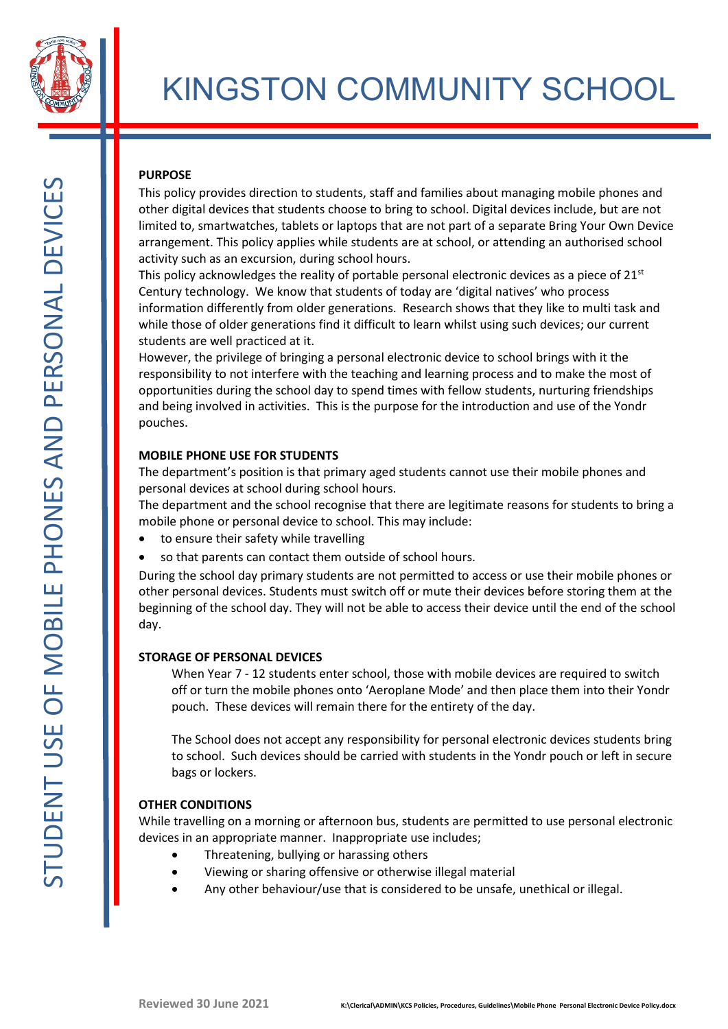

# KINGSTON COMMUNITY SCHOOL

# **PURPOSE**

This policy provides direction to students, staff and families about managing mobile phones and other digital devices that students choose to bring to school. Digital devices include, but are not limited to, smartwatches, tablets or laptops that are not part of a separate Bring Your Own Device arrangement. This policy applies while students are at school, or attending an authorised school activity such as an excursion, during school hours.

This policy acknowledges the reality of portable personal electronic devices as a piece of  $21<sup>st</sup>$ Century technology. We know that students of today are 'digital natives' who process information differently from older generations. Research shows that they like to multi task and while those of older generations find it difficult to learn whilst using such devices; our current students are well practiced at it.

However, the privilege of bringing a personal electronic device to school brings with it the responsibility to not interfere with the teaching and learning process and to make the most of opportunities during the school day to spend times with fellow students, nurturing friendships and being involved in activities. This is the purpose for the introduction and use of the Yondr pouches.

## **MOBILE PHONE USE FOR STUDENTS**

The department's position is that primary aged students cannot use their mobile phones and personal devices at school during school hours.

The department and the school recognise that there are legitimate reasons for students to bring a mobile phone or personal device to school. This may include:

- to ensure their safety while travelling
- so that parents can contact them outside of school hours.

During the school day primary students are not permitted to access or use their mobile phones or other personal devices. Students must switch off or mute their devices before storing them at the beginning of the school day. They will not be able to access their device until the end of the school day.

## **STORAGE OF PERSONAL DEVICES**

When Year 7 - 12 students enter school, those with mobile devices are required to switch off or turn the mobile phones onto 'Aeroplane Mode' and then place them into their Yondr pouch. These devices will remain there for the entirety of the day.

The School does not accept any responsibility for personal electronic devices students bring to school. Such devices should be carried with students in the Yondr pouch or left in secure bags or lockers.

## **OTHER CONDITIONS**

While travelling on a morning or afternoon bus, students are permitted to use personal electronic devices in an appropriate manner. Inappropriate use includes;

- Threatening, bullying or harassing others
- Viewing or sharing offensive or otherwise illegal material
- Any other behaviour/use that is considered to be unsafe, unethical or illegal.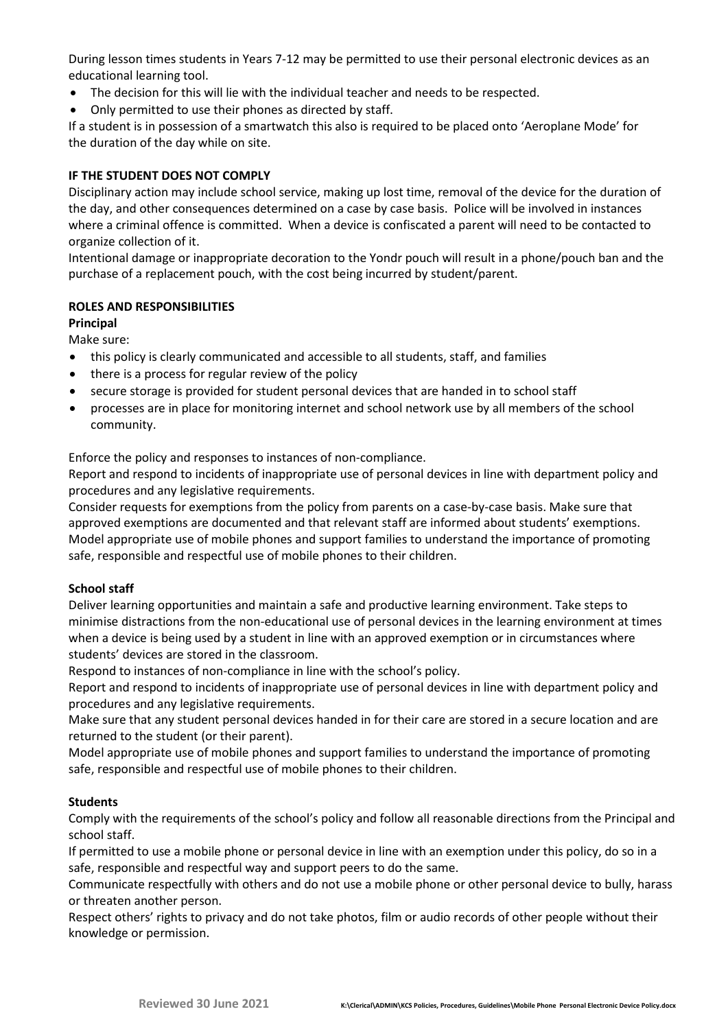During lesson times students in Years 7-12 may be permitted to use their personal electronic devices as an educational learning tool.

- The decision for this will lie with the individual teacher and needs to be respected.
- Only permitted to use their phones as directed by staff.

If a student is in possession of a smartwatch this also is required to be placed onto 'Aeroplane Mode' for the duration of the day while on site.

## **IF THE STUDENT DOES NOT COMPLY**

Disciplinary action may include school service, making up lost time, removal of the device for the duration of the day, and other consequences determined on a case by case basis. Police will be involved in instances where a criminal offence is committed. When a device is confiscated a parent will need to be contacted to organize collection of it.

Intentional damage or inappropriate decoration to the Yondr pouch will result in a phone/pouch ban and the purchase of a replacement pouch, with the cost being incurred by student/parent.

## **ROLES AND RESPONSIBILITIES**

## **Principal**

Make sure:

- this policy is clearly communicated and accessible to all students, staff, and families
- there is a process for regular review of the policy
- secure storage is provided for student personal devices that are handed in to school staff
- processes are in place for monitoring internet and school network use by all members of the school community.

Enforce the policy and responses to instances of non-compliance.

Report and respond to incidents of inappropriate use of personal devices in line with department policy and procedures and any legislative requirements.

Consider requests for exemptions from the policy from parents on a case-by-case basis. Make sure that approved exemptions are documented and that relevant staff are informed about students' exemptions. Model appropriate use of mobile phones and support families to understand the importance of promoting safe, responsible and respectful use of mobile phones to their children.

## **School staff**

Deliver learning opportunities and maintain a safe and productive learning environment. Take steps to minimise distractions from the non-educational use of personal devices in the learning environment at times when a device is being used by a student in line with an approved exemption or in circumstances where students' devices are stored in the classroom.

Respond to instances of non-compliance in line with the school's policy.

Report and respond to incidents of inappropriate use of personal devices in line with department policy and procedures and any legislative requirements.

Make sure that any student personal devices handed in for their care are stored in a secure location and are returned to the student (or their parent).

Model appropriate use of mobile phones and support families to understand the importance of promoting safe, responsible and respectful use of mobile phones to their children.

## **Students**

Comply with the requirements of the school's policy and follow all reasonable directions from the Principal and school staff.

If permitted to use a mobile phone or personal device in line with an exemption under this policy, do so in a safe, responsible and respectful way and support peers to do the same.

Communicate respectfully with others and do not use a mobile phone or other personal device to bully, harass or threaten another person.

Respect others' rights to privacy and do not take photos, film or audio records of other people without their knowledge or permission.